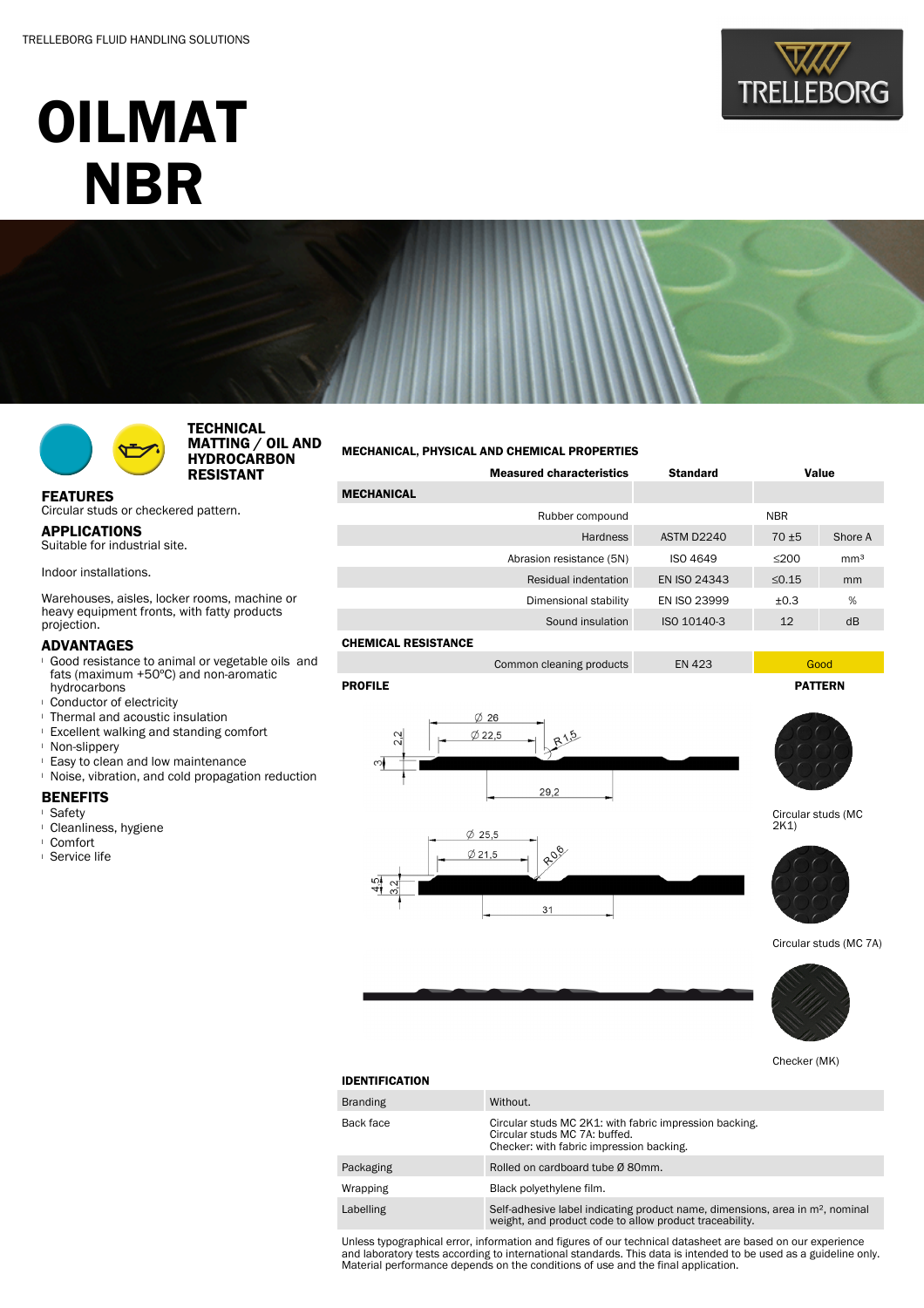# OILMAT **NBR**





Circular studs or checkered pattern.

FEATURES

projection. ADVANTAGES

APPLICATIONS Suitable for industrial site.

Indoor installations.

**TECHNICAL** MATTING / OIL AND HYDROCARBON RESISTANT

## MECHANICAL, PHYSICAL AND CHEMICAL PROPERTIES

|                     | <b>Measured characteristics</b> | <b>Standard</b><br>Value |             |                 |
|---------------------|---------------------------------|--------------------------|-------------|-----------------|
| <b>MECHANICAL</b>   |                                 |                          |             |                 |
|                     | Rubber compound                 |                          | <b>NBR</b>  |                 |
|                     | <b>Hardness</b>                 | ASTM D2240               | $70 + 5$    | Shore A         |
|                     | Abrasion resistance (5N)        | <b>ISO 4649</b>          | $\leq$ 200  | mm <sup>3</sup> |
|                     | Residual indentation            | EN ISO 24343             | $\leq 0.15$ | mm              |
|                     | Dimensional stability           | EN ISO 23999             | ±0.3        | %               |
|                     | Sound insulation                | ISO 10140-3              | 12          | dB              |
| CHEMICAL RESISTANCE |                                 |                          |             |                 |

#### CHEMICAL RESISTANCE



 $(7)$  25.5

<sup>l</sup> Conductor of electricity <sup>l</sup> Thermal and acoustic insulation

<sup>l</sup> Excellent walking and standing comfort

Warehouses, aisles, locker rooms, machine or heavy equipment fronts, with fatty products

<sup>l</sup> Good resistance to animal or vegetable oils and fats (maximum +50ºC) and non-aromatic

<sup>l</sup> Non-slippery

hydrocarbons

- <sup>l</sup> Easy to clean and low maintenance
- <sup>l</sup> Noise, vibration, and cold propagation reduction

### BENEFITS

- <sup>l</sup> Safety
- <sup>l</sup> Cleanliness, hygiene
- <sup>l</sup> Comfort
- <sup>l</sup> Service life





Circular studs (MC 2K1)



Circular studs (MC 7A)



Checker (MK)

| <b>IDENTIFICATION</b> |  |
|-----------------------|--|

| <b>Branding</b> | Without.                                                                                                                                             |
|-----------------|------------------------------------------------------------------------------------------------------------------------------------------------------|
| Back face       | Circular studs MC 2K1: with fabric impression backing.<br>Circular studs MC 7A: buffed.<br>Checker: with fabric impression backing.                  |
| Packaging       | Rolled on cardboard tube Ø 80mm.                                                                                                                     |
| Wrapping        | Black polyethylene film.                                                                                                                             |
| Labelling       | Self-adhesive label indicating product name, dimensions, area in m <sup>2</sup> , nominal<br>weight, and product code to allow product traceability. |

Unless typographical error, information and figures of our technical datasheet are based on our experience and laboratory tests according to international standards. This data is intended to be used as a guideline only. Material performance depends on the conditions of use and the final application.